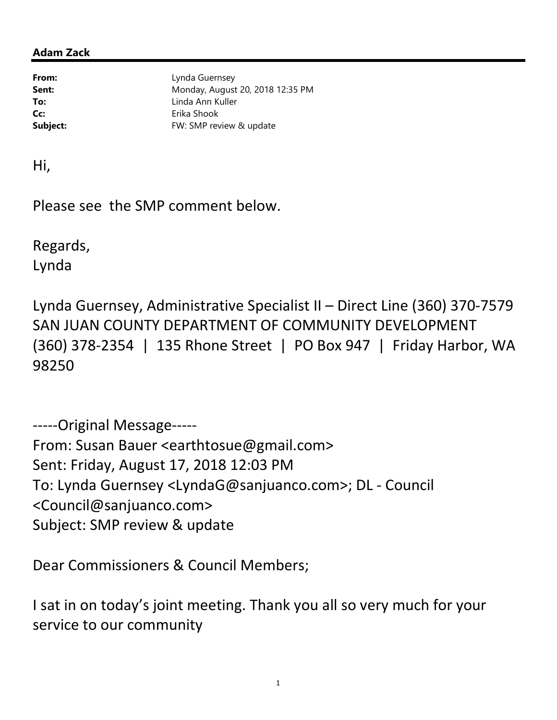## Adam Zack

From: Lynda Guernsey **Sent:** Monday, August 20, 2018 12:35 PM To: Linda Ann Kuller Cc: Erika Shook Subject: FW: SMP review & update

Hi,

Please see the SMP comment below.

Regards, Lynda

Lynda Guernsey, Administrative Specialist II – Direct Line (360) 370-7579 SAN JUAN COUNTY DEPARTMENT OF COMMUNITY DEVELOPMENT (360) 378-2354 | 135 Rhone Street | PO Box 947 | Friday Harbor, WA 98250

-----Original Message----- From: Susan Bauer <earthtosue@gmail.com> Sent: Friday, August 17, 2018 12:03 PM To: Lynda Guernsey <LyndaG@sanjuanco.com>; DL - Council <Council@sanjuanco.com> Subject: SMP review & update

Dear Commissioners & Council Members;

I sat in on today's joint meeting. Thank you all so very much for your service to our community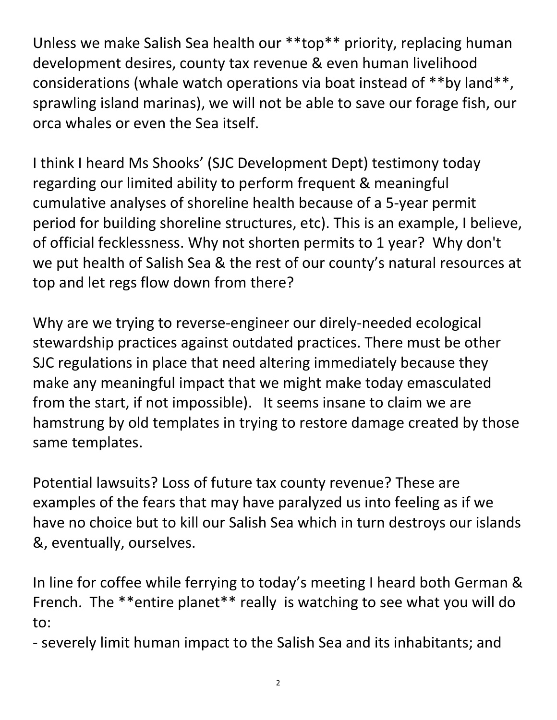Unless we make Salish Sea health our \*\*top\*\* priority, replacing human development desires, county tax revenue & even human livelihood considerations (whale watch operations via boat instead of \*\*by land\*\*, sprawling island marinas), we will not be able to save our forage fish, our orca whales or even the Sea itself.

I think I heard Ms Shooks' (SJC Development Dept) testimony today regarding our limited ability to perform frequent & meaningful cumulative analyses of shoreline health because of a 5-year permit period for building shoreline structures, etc). This is an example, I believe, of official fecklessness. Why not shorten permits to 1 year? Why don't we put health of Salish Sea & the rest of our county's natural resources at top and let regs flow down from there?

Why are we trying to reverse-engineer our direly-needed ecological stewardship practices against outdated practices. There must be other SJC regulations in place that need altering immediately because they make any meaningful impact that we might make today emasculated from the start, if not impossible). It seems insane to claim we are hamstrung by old templates in trying to restore damage created by those same templates.

Potential lawsuits? Loss of future tax county revenue? These are examples of the fears that may have paralyzed us into feeling as if we have no choice but to kill our Salish Sea which in turn destroys our islands &, eventually, ourselves.

In line for coffee while ferrying to today's meeting I heard both German & French. The \*\*entire planet\*\* really is watching to see what you will do to:

- severely limit human impact to the Salish Sea and its inhabitants; and

2